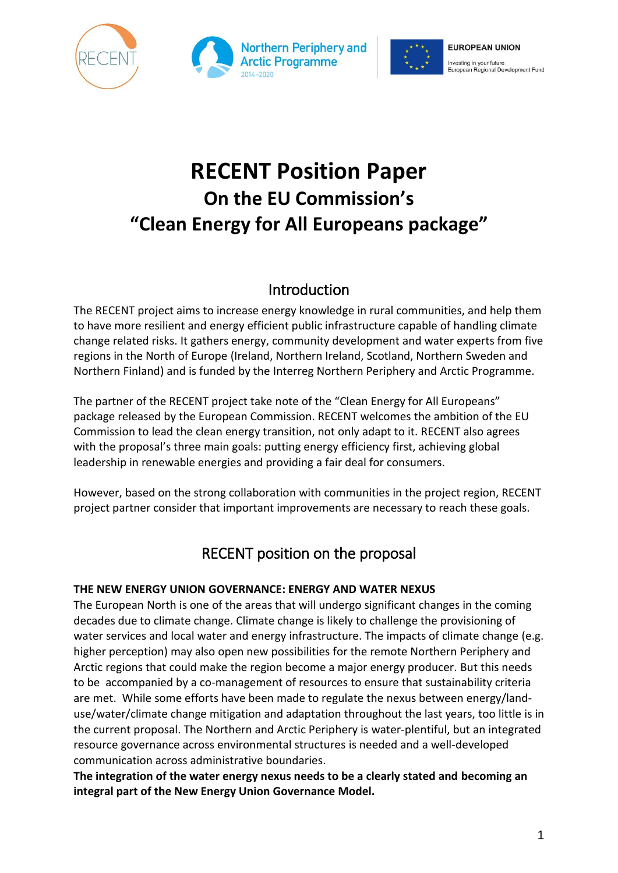





# **RECENT Position Paper On the EU Commission's "Clean Energy for All Europeans package"**

### Introduction

The RECENT project aims to increase energy knowledge in rural communities, and help them to have more resilient and energy efficient public infrastructure capable of handling climate change related risks. It gathers energy, community development and water experts from five regions in the North of Europe (Ireland, Northern Ireland, Scotland, Northern Sweden and Northern Finland) and is funded by the Interreg Northern Periphery and Arctic Programme.

The partner of the RECENT project take note of the "Clean Energy for All Europeans" package released by the European Commission. RECENT welcomes the ambition of the EU Commission to lead the clean energy transition, not only adapt to it. RECENT also agrees with the proposal's three main goals: putting energy efficiency first, achieving global leadership in renewable energies and providing a fair deal for consumers.

However, based on the strong collaboration with communities in the project region, RECENT project partner consider that important improvements are necessary to reach these goals.

## RECENT position on the proposal

#### **THE NEW ENERGY UNION GOVERNANCE: ENERGY AND WATER NEXUS**

The European North is one of the areas that will undergo significant changes in the coming decades due to climate change. Climate change is likely to challenge the provisioning of water services and local water and energy infrastructure. The impacts of climate change (e.g. higher perception) may also open new possibilities for the remote Northern Periphery and Arctic regions that could make the region become a major energy producer. But this needs to be accompanied by a co-management of resources to ensure that sustainability criteria are met. While some efforts have been made to regulate the nexus between energy/landuse/water/climate change mitigation and adaptation throughout the last years, too little is in the current proposal. The Northern and Arctic Periphery is water-plentiful, but an integrated resource governance across environmental structures is needed and a well-developed communication across administrative boundaries.

**The integration of the water energy nexus needs to be a clearly stated and becoming an integral part of the New Energy Union Governance Model.**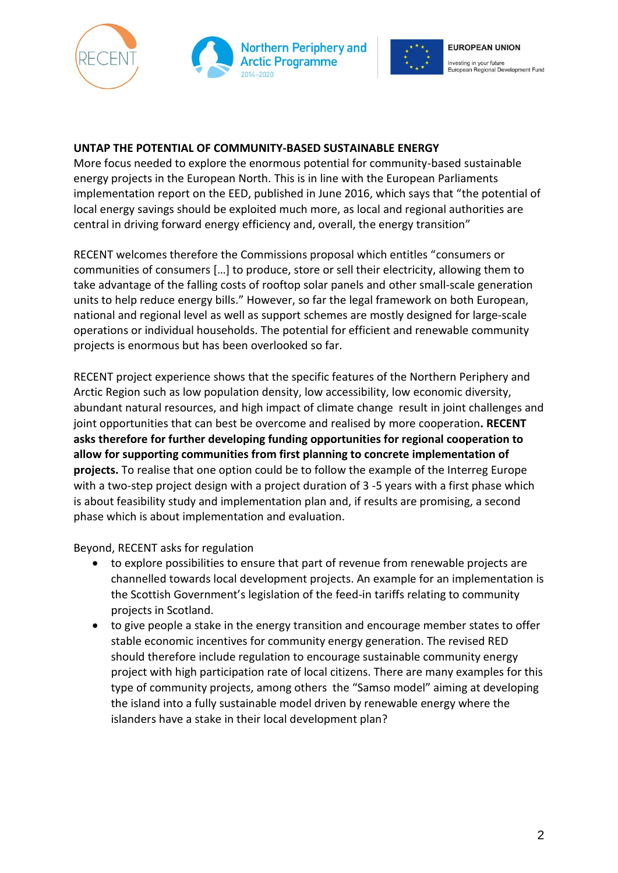





#### **UNTAP THE POTENTIAL OF COMMUNITY-BASED SUSTAINABLE ENERGY**

More focus needed to explore the enormous potential for community-based sustainable energy projects in the European North. This is in line with the European Parliaments implementation report on the EED, published in June 2016, which says that "the potential of local energy savings should be exploited much more, as local and regional authorities are central in driving forward energy efficiency and, overall, the energy transition"

RECENT welcomes therefore the Commissions proposal which entitles "consumers or communities of consumers […] to produce, store or sell their electricity, allowing them to take advantage of the falling costs of rooftop solar panels and other small-scale generation units to help reduce energy bills." However, so far the legal framework on both European, national and regional level as well as support schemes are mostly designed for large-scale operations or individual households. The potential for efficient and renewable community projects is enormous but has been overlooked so far.

RECENT project experience shows that the specific features of the Northern Periphery and Arctic Region such as low population density, low accessibility, low economic diversity, abundant natural resources, and high impact of climate change result in joint challenges and joint opportunities that can best be overcome and realised by more cooperation**. RECENT asks therefore for further developing funding opportunities for regional cooperation to allow for supporting communities from first planning to concrete implementation of projects.** To realise that one option could be to follow the example of the Interreg Europe with a two-step project design with a project duration of 3 -5 years with a first phase which is about feasibility study and implementation plan and, if results are promising, a second phase which is about implementation and evaluation.

Beyond, RECENT asks for regulation

- to explore possibilities to ensure that part of revenue from renewable projects are channelled towards local development projects. An example for an implementation is the Scottish Government's legislation of the feed-in tariffs relating to community projects in Scotland.
- to give people a stake in the energy transition and encourage member states to offer stable economic incentives for community energy generation. The revised RED should therefore include regulation to encourage sustainable community energy project with high participation rate of local citizens. There are many examples for this type of community projects, among others the "Samso model" aiming at developing the island into a fully sustainable model driven by renewable energy where the islanders have a stake in their local development plan?